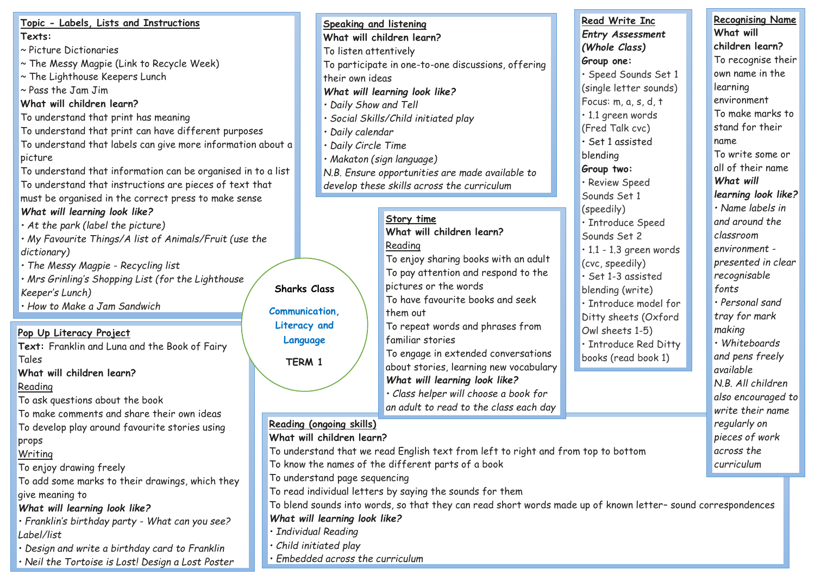| Topic - Labels, Lists and Instructions                       |                                                                                                             |                        | <b>Speaking and listening</b> |                                                    |  | Read Write Inc                |  | <b>Recognising Name</b> |  |
|--------------------------------------------------------------|-------------------------------------------------------------------------------------------------------------|------------------------|-------------------------------|----------------------------------------------------|--|-------------------------------|--|-------------------------|--|
| Texts:                                                       |                                                                                                             |                        |                               | What will children learn?                          |  | <b>Entry Assessment</b>       |  | What will               |  |
| ~ Picture Dictionaries                                       |                                                                                                             |                        | To listen attentively         |                                                    |  | (Whole Class)                 |  | children learn?         |  |
| ~ The Messy Magpie (Link to Recycle Week)                    |                                                                                                             |                        |                               | To participate in one-to-one discussions, offering |  | Group one:                    |  | To recognise their      |  |
| ~ The Lighthouse Keepers Lunch                               |                                                                                                             |                        | their own ideas               |                                                    |  | · Speed Sounds Set 1          |  | own name in the         |  |
| $\sim$ Pass the Jam Jim                                      |                                                                                                             |                        |                               | What will learning look like?                      |  | (single letter sounds)        |  | learning                |  |
| What will children learn?                                    |                                                                                                             |                        | · Daily Show and Tell         |                                                    |  | Focus: m, a, s, d, t          |  | environment             |  |
| To understand that print has meaning                         |                                                                                                             |                        |                               | Social Skills/Child initiated play                 |  | · 1.1 green words             |  | To make marks to        |  |
| To understand that print can have different purposes         |                                                                                                             |                        | · Daily calendar              |                                                    |  | (Fred Talk cvc)               |  | stand for their         |  |
| To understand that labels can give more information about a  |                                                                                                             |                        | · Daily Circle Time           |                                                    |  | · Set 1 assisted              |  | name                    |  |
| picture                                                      |                                                                                                             |                        |                               | · Makaton (sign language)                          |  | blending                      |  | To write some or        |  |
| To understand that information can be organised in to a list |                                                                                                             |                        |                               | N.B. Ensure opportunities are made available to    |  | Group two:                    |  | all of their name       |  |
| To understand that instructions are pieces of text that      |                                                                                                             |                        |                               | develop these skills across the curriculum         |  | · Review Speed                |  | What will               |  |
| must be organised in the correct press to make sense         |                                                                                                             |                        |                               |                                                    |  | Sounds Set 1                  |  | learning look like?     |  |
| What will learning look like?                                |                                                                                                             |                        |                               |                                                    |  | (speedily)                    |  | $\cdot$ Name labels in  |  |
| $\cdot$ At the park (label the picture)                      |                                                                                                             |                        |                               | Story time                                         |  | · Introduce Speed             |  | and around the          |  |
| · My Favourite Things/A list of Animals/Fruit (use the       |                                                                                                             |                        |                               | What will children learn?                          |  | Sounds Set 2                  |  | classroom               |  |
| dictionary)                                                  |                                                                                                             |                        |                               | Reading                                            |  | $\cdot$ 1.1 - 1.3 green words |  | environment -           |  |
| · The Messy Magpie - Recycling list                          |                                                                                                             |                        |                               | To enjoy sharing books with an adult               |  | (cvc, speedily)               |  | presented in clear      |  |
| . Mrs Grinling's Shopping List (for the Lighthouse           |                                                                                                             |                        |                               | To pay attention and respond to the                |  | · Set 1-3 assisted            |  | recognisable            |  |
| Keeper's Lunch)                                              |                                                                                                             | <b>Sharks Class</b>    |                               | pictures or the words                              |  | blending (write)              |  | fonts                   |  |
| · How to Make a Jam Sandwich                                 |                                                                                                             |                        |                               | To have favourite books and seek                   |  | · Introduce model for         |  | · Personal sand         |  |
|                                                              |                                                                                                             | <b>Communication,</b>  |                               | them out                                           |  | Ditty sheets (Oxford          |  | tray for mark           |  |
| Pop Up Literacy Project                                      |                                                                                                             | Literacy and           |                               | To repeat words and phrases from                   |  | Owl sheets 1-5)               |  | making                  |  |
| Text: Franklin and Luna and the Book of Fairy                |                                                                                                             | Language               |                               | familiar stories                                   |  | · Introduce Red Ditty         |  | · Whiteboards           |  |
| Tales                                                        |                                                                                                             | TERM 1                 |                               | To engage in extended conversations                |  | books (read book 1)           |  | and pens freely         |  |
| What will children learn?                                    |                                                                                                             |                        |                               | about stories, learning new vocabulary             |  |                               |  | available               |  |
| Reading                                                      |                                                                                                             |                        |                               | What will learning look like?                      |  |                               |  | N.B. All children       |  |
| To ask questions about the book                              |                                                                                                             |                        |                               | · Class helper will choose a book for              |  |                               |  | also encouraged to      |  |
| To make comments and share their own ideas                   |                                                                                                             |                        |                               | an adult to read to the class each day             |  |                               |  | write their name        |  |
| To develop play around favourite stories using               |                                                                                                             |                        | Reading (ongoing skills)      |                                                    |  |                               |  | regularly on            |  |
| props                                                        | What will children learn?<br>pieces of work                                                                 |                        |                               |                                                    |  |                               |  |                         |  |
| Writing                                                      | To understand that we read English text from left to right and from top to bottom<br>across the             |                        |                               |                                                    |  |                               |  |                         |  |
| To enjoy drawing freely                                      | To know the names of the different parts of a book<br>curriculum                                            |                        |                               |                                                    |  |                               |  |                         |  |
| To add some marks to their drawings, which they              | To understand page sequencing                                                                               |                        |                               |                                                    |  |                               |  |                         |  |
| give meaning to                                              | To read individual letters by saying the sounds for them                                                    |                        |                               |                                                    |  |                               |  |                         |  |
| What will learning look like?                                | To blend sounds into words, so that they can read short words made up of known letter-sound correspondences |                        |                               |                                                    |  |                               |  |                         |  |
| · Franklin's birthday party - What can you see?              | What will learning look like?                                                                               |                        |                               |                                                    |  |                               |  |                         |  |
| Label/list                                                   |                                                                                                             | · Individual Reading   |                               |                                                    |  |                               |  |                         |  |
| · Design and write a birthday card to Franklin               |                                                                                                             | · Child initiated play |                               |                                                    |  |                               |  |                         |  |
| · Neil the Tortoise is Lost! Design a Lost Poster            | · Embedded across the curriculum                                                                            |                        |                               |                                                    |  |                               |  |                         |  |

*• Stick Puppets - story telling*